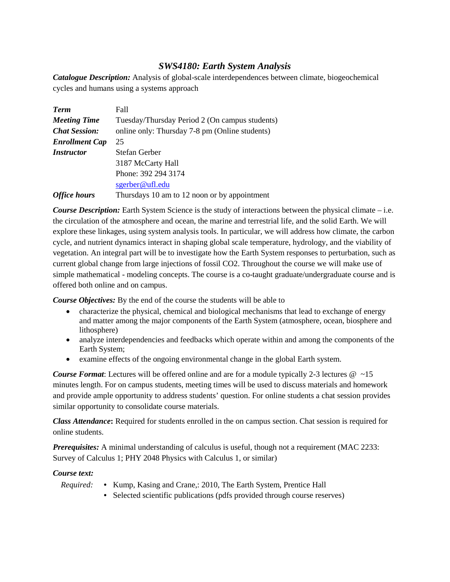# *SWS4180: Earth System Analysis*

*Catalogue Description:* Analysis of global-scale interdependences between climate, biogeochemical cycles and humans using a systems approach

| <b>Term</b>           | Fall                                           |  |  |  |  |  |
|-----------------------|------------------------------------------------|--|--|--|--|--|
| <b>Meeting Time</b>   | Tuesday/Thursday Period 2 (On campus students) |  |  |  |  |  |
| <b>Chat Session:</b>  | online only: Thursday 7-8 pm (Online students) |  |  |  |  |  |
| <b>Enrollment Cap</b> | 25                                             |  |  |  |  |  |
| <i>Instructor</i>     | Stefan Gerber                                  |  |  |  |  |  |
|                       | 3187 McCarty Hall                              |  |  |  |  |  |
|                       | Phone: 392 294 3174                            |  |  |  |  |  |
|                       | sgerber@ufl.edu                                |  |  |  |  |  |
| <b>Office hours</b>   | Thursdays 10 am to 12 noon or by appointment   |  |  |  |  |  |

*Course Description:* Earth System Science is the study of interactions between the physical climate – i.e. the circulation of the atmosphere and ocean, the marine and terrestrial life, and the solid Earth. We will explore these linkages, using system analysis tools. In particular, we will address how climate, the carbon cycle, and nutrient dynamics interact in shaping global scale temperature, hydrology, and the viability of vegetation. An integral part will be to investigate how the Earth System responses to perturbation, such as current global change from large injections of fossil CO2. Throughout the course we will make use of simple mathematical - modeling concepts. The course is a co-taught graduate/undergraduate course and is offered both online and on campus.

*Course Objectives:* By the end of the course the students will be able to

- characterize the physical, chemical and biological mechanisms that lead to exchange of energy and matter among the major components of the Earth System (atmosphere, ocean, biosphere and lithosphere)
- analyze interdependencies and feedbacks which operate within and among the components of the Earth System;
- examine effects of the ongoing environmental change in the global Earth system.

*Course Format*: Lectures will be offered online and are for a module typically 2-3 lectures @ ~15 minutes length. For on campus students, meeting times will be used to discuss materials and homework and provide ample opportunity to address students' question. For online students a chat session provides similar opportunity to consolidate course materials.

*Class Attendance***:** Required for students enrolled in the on campus section. Chat session is required for online students.

*Prerequisites:* A minimal understanding of calculus is useful, though not a requirement (MAC 2233: Survey of Calculus 1; PHY 2048 Physics with Calculus 1, or similar)

# *Course text:*

- *Required:* Kump, Kasing and Crane,: 2010, The Earth System, Prentice Hall
	- Selected scientific publications (pdfs provided through course reserves)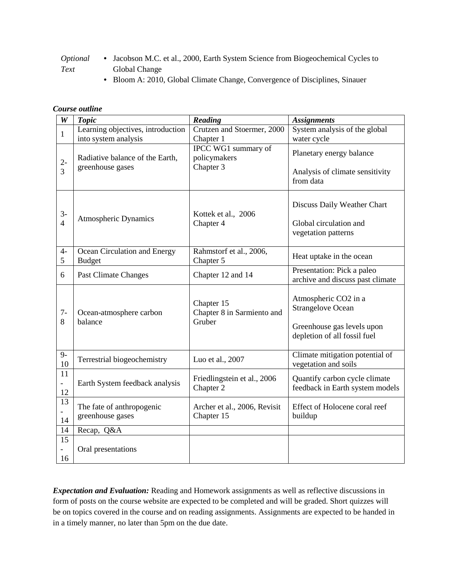- *Optional Text* • Jacobson M.C. et al., 2000, Earth System Science from Biogeochemical Cycles to Global Change
	- Bloom A: 2010, Global Climate Change, Convergence of Disciplines, Sinauer

### *Course outline*

| $\pmb{W}$                             | <b>Topic</b>                                                                                | Reading                                            | <b>Assignments</b>                                                                                             |  |  |  |
|---------------------------------------|---------------------------------------------------------------------------------------------|----------------------------------------------------|----------------------------------------------------------------------------------------------------------------|--|--|--|
| $\mathbf{1}$                          | Learning objectives, introduction<br>into system analysis                                   | Crutzen and Stoermer, 2000<br>Chapter 1            | System analysis of the global<br>water cycle                                                                   |  |  |  |
| $2-$<br>3                             | Radiative balance of the Earth,<br>greenhouse gases                                         | IPCC WG1 summary of<br>policymakers<br>Chapter 3   | Planetary energy balance<br>Analysis of climate sensitivity<br>from data                                       |  |  |  |
| $3-$<br>$\overline{4}$                | <b>Atmospheric Dynamics</b>                                                                 | Kottek et al., 2006<br>Chapter 4                   | Discuss Daily Weather Chart<br>Global circulation and<br>vegetation patterns                                   |  |  |  |
| $4-$<br>5                             | Ocean Circulation and Energy<br><b>Budget</b>                                               | Rahmstorf et al., 2006,<br>Chapter 5               | Heat uptake in the ocean                                                                                       |  |  |  |
| 6                                     | <b>Past Climate Changes</b>                                                                 | Chapter 12 and 14                                  | Presentation: Pick a paleo<br>archive and discuss past climate                                                 |  |  |  |
| $7-$<br>8                             | Ocean-atmosphere carbon<br>balance                                                          | Chapter 15<br>Chapter 8 in Sarmiento and<br>Gruber | Atmospheric CO2 in a<br><b>Strangelove Ocean</b><br>Greenhouse gas levels upon<br>depletion of all fossil fuel |  |  |  |
| $9-$<br>10                            | Terrestrial biogeochemistry                                                                 | Luo et al., 2007                                   | Climate mitigation potential of<br>vegetation and soils                                                        |  |  |  |
| 11<br>$\mathbb{Z}^{\mathbb{Z}}$<br>12 | Earth System feedback analysis                                                              | Friedlingstein et al., 2006<br>Chapter 2           | Quantify carbon cycle climate<br>feedback in Earth system models                                               |  |  |  |
| 13<br>14                              | The fate of anthropogenic<br>Archer et al., 2006, Revisit<br>greenhouse gases<br>Chapter 15 |                                                    | Effect of Holocene coral reef<br>buildup                                                                       |  |  |  |
| 14                                    | Recap, Q&A                                                                                  |                                                    |                                                                                                                |  |  |  |
| 15<br>16                              | Oral presentations                                                                          |                                                    |                                                                                                                |  |  |  |

*Expectation and Evaluation:* Reading and Homework assignments as well as reflective discussions in form of posts on the course website are expected to be completed and will be graded. Short quizzes will be on topics covered in the course and on reading assignments. Assignments are expected to be handed in in a timely manner, no later than 5pm on the due date.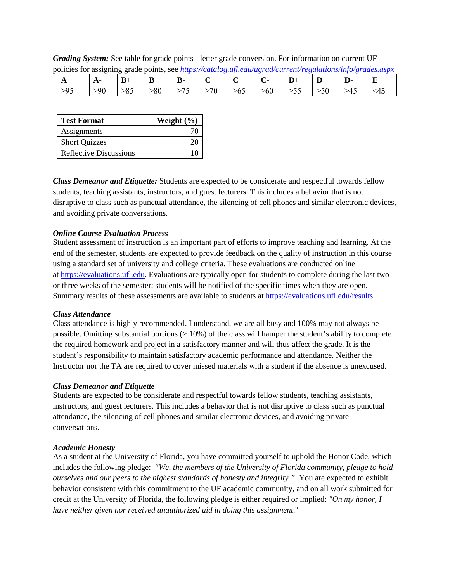| boncies for assigning grade points, see <i>https://calatog.uft.edu/ugrad/current/regulations/info/grades.uspx</i> |     |           |           |    |  |          |           |  |    |   |
|-------------------------------------------------------------------------------------------------------------------|-----|-----------|-----------|----|--|----------|-----------|--|----|---|
| . .                                                                                                               |     |           |           | Ŋ. |  |          |           |  | D- | ت |
| $\geq 95$                                                                                                         | >0∫ | $\leq$ 00 | $\geq 80$ |    |  | $\geq 0$ | $\geq 60$ |  |    |   |

*Grading System:* See table for grade points - letter grade conversion. For information on current UF policies for assigning grade points, see *<https://catalog.ufl.edu/ugrad/current/regulations/info/grades.aspx>*

| <b>Test Format</b>            | Weight $(\% )$ |  |  |  |
|-------------------------------|----------------|--|--|--|
| Assignments                   |                |  |  |  |
| <b>Short Quizzes</b>          |                |  |  |  |
| <b>Reflective Discussions</b> |                |  |  |  |

*Class Demeanor and Etiquette:* Students are expected to be considerate and respectful towards fellow students, teaching assistants, instructors, and guest lecturers. This includes a behavior that is not disruptive to class such as punctual attendance, the silencing of cell phones and similar electronic devices, and avoiding private conversations.

#### *Online Course Evaluation Process*

Student assessment of instruction is an important part of efforts to improve teaching and learning. At the end of the semester, students are expected to provide feedback on the quality of instruction in this course using a standard set of university and college criteria. These evaluations are conducted online at [https://evaluations.ufl.edu.](https://evaluations.ufl.edu/) Evaluations are typically open for students to complete during the last two or three weeks of the semester; students will be notified of the specific times when they are open. Summary results of these assessments are available to students a[t https://evaluations.ufl.edu/results](https://evaluations.ufl.edu/results)

#### *Class Attendance*

Class attendance is highly recommended. I understand, we are all busy and 100% may not always be possible. Omitting substantial portions (> 10%) of the class will hamper the student's ability to complete the required homework and project in a satisfactory manner and will thus affect the grade. It is the student's responsibility to maintain satisfactory academic performance and attendance. Neither the Instructor nor the TA are required to cover missed materials with a student if the absence is unexcused.

#### *Class Demeanor and Etiquette*

Students are expected to be considerate and respectful towards fellow students, teaching assistants, instructors, and guest lecturers. This includes a behavior that is not disruptive to class such as punctual attendance, the silencing of cell phones and similar electronic devices, and avoiding private conversations.

#### *Academic Honesty*

As a student at the University of Florida, you have committed yourself to uphold the Honor Code, which includes the following pledge: "*We, the members of the University of Florida community, pledge to hold ourselves and our peers to the highest standards of honesty and integrity.*" You are expected to exhibit behavior consistent with this commitment to the UF academic community, and on all work submitted for credit at the University of Florida, the following pledge is either required or implied: *"On my honor, I have neither given nor received unauthorized aid in doing this assignment*."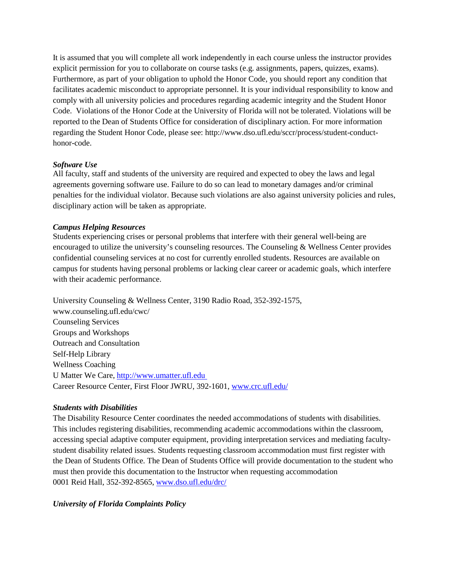It is assumed that you will complete all work independently in each course unless the instructor provides explicit permission for you to collaborate on course tasks (e.g. assignments, papers, quizzes, exams). Furthermore, as part of your obligation to uphold the Honor Code, you should report any condition that facilitates academic misconduct to appropriate personnel. It is your individual responsibility to know and comply with all university policies and procedures regarding academic integrity and the Student Honor Code. Violations of the Honor Code at the University of Florida will not be tolerated. Violations will be reported to the Dean of Students Office for consideration of disciplinary action. For more information regarding the Student Honor Code, please see: [http://www.dso.ufl.edu/sccr/process/student-conduct](http://www.dso.ufl.edu/sccr/process/student-conduct-honor-code)[honor-code.](http://www.dso.ufl.edu/sccr/process/student-conduct-honor-code)

# *Software Use*

All faculty, staff and students of the university are required and expected to obey the laws and legal agreements governing software use. Failure to do so can lead to monetary damages and/or criminal penalties for the individual violator. Because such violations are also against university policies and rules, disciplinary action will be taken as appropriate.

# *Campus Helping Resources*

Students experiencing crises or personal problems that interfere with their general well-being are encouraged to utilize the university's counseling resources. The Counseling & Wellness Center provides confidential counseling services at no cost for currently enrolled students. Resources are available on campus for students having personal problems or lacking clear career or academic goals, which interfere with their academic performance.

University Counseling & Wellness Center, 3190 Radio Road, 352-392-1575, www.counseling.ufl.edu/cwc/ Counseling Services Groups and Workshops Outreach and Consultation Self-Help Library Wellness Coaching U Matter We Care, [http://www.umatter.ufl.edu](http://www.umatter.ufl.edu/)  Career Resource Center, First Floor JWRU, 392-1601, www.crc.ufl.edu/

#### *Students with Disabilities*

The Disability Resource Center coordinates the needed accommodations of students with disabilities. This includes registering disabilities, recommending academic accommodations within the classroom, accessing special adaptive computer equipment, providing interpretation services and mediating facultystudent disability related issues. Students requesting classroom accommodation must first register with the Dean of Students Office. The Dean of Students Office will provide documentation to the student who must then provide this documentation to the Instructor when requesting accommodation 0001 Reid Hall, 352-392-8565, [www.dso.ufl.edu/drc/](http://www.dso.ufl.edu/drc/)

*University of Florida Complaints Policy*